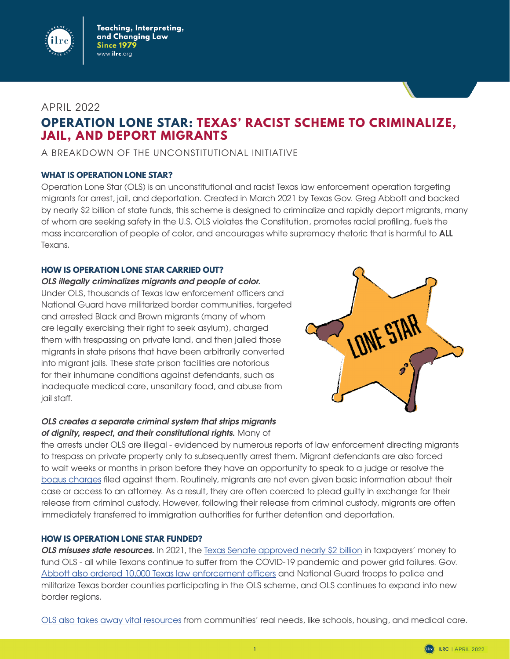

## APRIL 2022

# **OPERATION LONE STAR: TEXAS' RACIST SCHEME TO CRIMINALIZE, JAIL, AND DEPORT MIGRANTS**

## A BREAKDOWN OF THE UNCONSTITUTIONAL INITIATIVE

## **WHAT IS OPERATION LONE STAR?**

Operation Lone Star (OLS) is an unconstitutional and racist Texas law enforcement operation targeting migrants for arrest, jail, and deportation. Created in March 2021 by Texas Gov. Greg Abbott and backed by nearly \$2 billion of state funds, this scheme is designed to criminalize and rapidly deport migrants, many of whom are seeking safety in the U.S. OLS violates the Constitution, promotes racial profiling, fuels the mass incarceration of people of color, and encourages white supremacy rhetoric that is harmful to **ALL** Texans.

## **HOW IS OPERATION LONE STAR CARRIED OUT?**

## *OLS illegally criminalizes migrants and people of color.*

Under OLS, thousands of Texas law enforcement officers and National Guard have militarized border communities, targeted and arrested Black and Brown migrants (many of whom are legally exercising their right to seek asylum), charged them with trespassing on private land, and then jailed those migrants in state prisons that have been arbitrarily converted into migrant jails. These state prison facilities are notorious for their inhumane conditions against defendants, such as inadequate medical care, unsanitary food, and abuse from jail staff.

## *OLS creates a separate criminal system that strips migrants of dignity, respect, and their constitutional rights.* Many of



the arrests under OLS are illegal - evidenced by numerous reports of law enforcement directing migrants to trespass on private property only to subsequently arrest them. Migrant defendants are also forced to wait weeks or months in prison before they have an opportunity to speak to a judge or resolve the [bogus charges](https://www.statesman.com/story/news/2022/01/13/greg-abbott-texas-mexico-border-unconstitutional-judge-district/6510864001/) filed against them. Routinely, migrants are not even given basic information about their case or access to an attorney. As a result, they are often coerced to plead guilty in exchange for their release from criminal custody. However, following their release from criminal custody, migrants are often immediately transferred to immigration authorities for further detention and deportation.

## **HOW IS OPERATION LONE STAR FUNDED?**

**OLS misuses state resources.** In 2021, the [Texas Senate approved nearly \\$2 billion](https://www.texastribune.org/2021/08/31/texas-senate-border-wall-security-bill/) in taxpayers' money to fund OLS - all while Texans continue to suffer from the COVID-19 pandemic and power grid failures. Gov. [Abbott also ordered 10,000 Texas law enforcement officers](https://www.borderreport.com/hot-topics/immigration/10000-national-guard-and-texas-state-troopers-deployed-to-border-for-operation-lone-star/) and National Guard troops to police and militarize Texas border counties participating in the OLS scheme, and OLS continues to expand into new border regions.

[OLS also takes away vital resources](https://drive.google.com/file/d/15oK7HaFho7dSzq4nIi-KpikT555OwhBf/view) from communities' real needs, like schools, housing, and medical care.